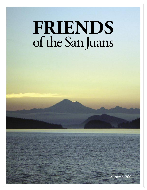## **FRIENDS** of the San Juans

1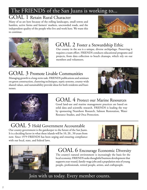### The FRIENDS of the San Juans is working to...

#### GOAL 1 Retain Rural Character

Many of us are here because of the rolling landscapes, small towns and hamlets, active farms and farmers' markets, uncrowded roads, and the independent quality of the people who live and work here. We want this to continue.





#### GOAL 2 Foster a Stewardship Ethic

Our county in the sea is a unique, diverse archipelago. Preserving it requires a team effort. FRIENDS conducts educational programs and projects, from data collection to beach cleanups, which rely on our members and volunteers.

#### GOAL 3 Promote Livable Communities

Managing growth is a long-term task. FRIENDS publications and seminars on green construction, clustering techniques, septic systems, county-wide shared values, and sustainability provide ideas for both residents and businesses.





#### GOAL 4 Protect our Marine Resources

Good land-use and marine management practices are based on solid data and scientific research. FRIENDS is leading the way by sponsoring Nearshore Research, Salmon Restoration, Water Resource Studies, and Orca Protection.

#### GOAL 5 Hold Government Accountable

Our county government is the gatekeeper to the future of the San Juans. It is a deciding factor in what these islands will be 10, 20...50 years from now. Since 1979 FRIENDS has been urging and ensuring compliance with our local, state, and federal laws.





#### GOAL 6 Encourage Economic Diversity

The county's natural environment is increasingly the basis for the local economy. FRIENDS seeks thoughtful business development that supports year-round, family-wage jobs and a population mix of young people, professionals, retired people, artists, and craftspeople.

Join with us today. Every member counts.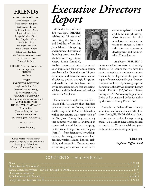#### **FRIENDS**

#### **BOARD OF DIRECTORS**

Lynn Bahrych - Shaw Steve Brandt - San Juan Paul Carroll - Lopez Jon Christoffersen - Shaw Roger Collier - Orcas Irmgard Conley - Orcas Fred Croydon - Orcas Fred Ellis - Shaw Bill Engle - San Juan Maile Johnson - Orcas John Marx - San Juan Patti Pirnack-Hamilton - Orcas David Sarver - Orcas Farouk Seif - Orcas

FRIENDS Newsletter is published four times per year. **EDITOR** Steve Brandt

**STAFF EXECUTIVE DIRECTOR** Stephanie Buffum Field (stephanie@sanjuans.org) **ENVIRONMENTAL PROGRAMS MANAGER** Tina Whitman (tina@sanjuans.org) **MEMBERSHIP AND DEVELOPMENT MANAGER** Shannon Davis (shannon@sanjuans.org) **OFFICE MANAGER** Jana Marks (jana@sanjuans.org)

360-378-2319

www.sanjuans.org

Cover Photos by Steve Brandt Graphic Design by Tif & Gif Creative Printing by Harbor Press Cartoon: Courtesy Gary Larson

## *Executive Directors Report*

 With the help of over 400 members, FRIENDS celebrated 25 years of protecting the land, sea and livability of the San Juan Islands this spring and summer. The vision of founding board members like Michael Krieger, Gene Knapp, Linda Campbell,



Robbie Lawson and others has served as an inspiration for new and longtime members alike. Over the past 25 years our unique and successful combination of science, policy, strategic litigation, and coalition building have created environmental solutions that are lasting, efficient, and fair for the natural heritage here in the San Juans.

 This summer we completed an ambitious Forage Fish Assessment that identified spawning sites for surf smelt, sandlance and herring in the 412 miles of shoreline within our county. Our completion of the San Juan County Eelgrass Survey this summer was also a landmark in conservation and habitat mapping. In this issue, Forage Fish and Eelgrass (Part II)— from Science to Stewardship, explores the linkages between our local beaches, whales, salmon, lingcod, crab, birds, and forage fish. Our assessments are serving as statewide models for

community-based research and land use planning. Also featured in this newsletter are articles on water resources, a home rule charter, economic development, and the intertribal Canoe Journey.

As always, FRIENDS is

being called on to assist in a variety of issues. To ensure that we have the resources in place to continue to answer these calls, we depend on the generous support from members like you. One way that you can help is by making a special donation to the  $25<sup>th</sup>$  Anniversary Legacy Fund. The first \$25,000 contributed during our 25<sup>th</sup> Anniversary Legacy Fund Drive will be matched dollar for dollar by the Russell Family Foundation.

 Through the tireless efforts of many volunteers and our members who love these islands, FRIENDS of the San Juans has become the local leader in preserving them. We couldn't have accomplished so much in 25 years without your enthusiastic and enduring support.

> Thank you, *Stephanie Buffum Field*

#### CONTENTS —AUTUMN EDITION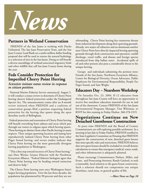

#### **Partners in Wetland Conservation**

 FRIENDS of the San Juans is working with Ducks Unlimited, The San Juan Preservation Trust, and the San Juan County Land Bank on a multi-million dollar funding proposal that will be used to restore the natural hydrology to a selection of sites in the San Juans. Doing so will benefit a diverse assemblage of wetland-associated migratory birds and other wildlife that call San Juan County home during the year.

#### **Feds Consider Protection for Imperiled Cherry Point Herring**

#### *Scientists initiate status review in response to citizen petition.*

 National Marine Fisheries Service announced August 5, it will conduct a status review to determine if Cherry Point herring deserve federal protection under the Endangered Species Act. The announcement comes after an 8-month review initiated when FRIENDS and a coalition of conservation groups filed a petition requesting federal protection for the herring that spawn along the open shoreline north of Bellingham.

 Federal protection and restoration of Cherry Point herring will benefit everything from salmon and orcas which pass through our waters to eelgrass upon which herring spawn. These herring are distinct from other Pacific herring in many respects. Their unique spawning location and timing have reproductively isolated Cherry Point herring from other Puget Sound herring, and recent studies indicate that Cherry Point herring are the most genetically divergent herring population in Washington.

 "This a first step toward recovery of Cherry Point herring," says Dave Werntz, Science Director with the Northwest Ecosystem Alliance. "Federal fisheries biologists agree that Cherry Point herring may be heading toward extinction and deserve help."

 The Cherry Point herring were once Washington State's largest herring population. Over the last three decades, the population has plummeted by 90 percent and they are not

rebounding. Cherry Point herring face numerous threats from industrial development along their spawning grounds. Already, two major oil refineries and an aluminum smelter near Cherry Point have directly impacted herring spawning grounds through dock construction and operation, outfall discharge, vessel traffic, and disease and foreign species introduced from ship ballast water. Accidental spills of oil and other poisons also pose a considerable threat to the unique herring.

 Groups and individuals submitting the petition were: Friends of the San Juans, Northwest Ecosystem Alliance, Center for Biological Diversity, Ocean Advocates, Public Employees for Environmental Responsibility, People For Puget Sound, and Sam Wright.

#### **Educators Day ~ Nearshore Workshop**

 On Saturday Oct. 23, 2004, K-12 educators from throughout San Juan County will have an opportunity to receive free nearshore education materials for use in and out of the classroom. Contact FRIENDS of the San Juans Environmental Programs Manager, Tina Whitman, to RSVP for this training in Friday Harbor. 360-378-2319.

#### **Negotiations Continue on New Detached Guesthouse Construction**

 At press time FRIENDS and the Board of County Commissioners are still exploring possible settlement. In a meeting in late July in Friday Harbor, FRIENDS testified to the State Legislative Committee on Housing that FRIENDS supports the construction of new, detached guest houses that meet specific rules and restrictions. FRIENDS believes that new guest houses should be included in overall density calculations to ensure that emergency medical, water, roads, and other infrastructure is adequately planned.

 Please encourage Commissioners Nielsen, Miller, and Evans, and Prosecuting Attorney, Randy Gaylord, to seek a reasonable, local solution to the guest house controversy. Such a solution should not compromise our unique shorelines, rural areas, or general quality of life.

*—More News on Page 10*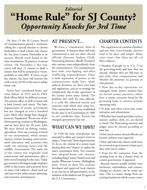## *Editorial* **"Home Rule" for SJ County?** *Opportunity Knocks for 3rd Time*

 On June 15 the SJ County Board of Commissioners passed a resolution calling for a special election to choose freeholders to draft a home rule charter for San Juan County. Freeholder is an ancient, British word found in the state constitution. In practice, it means citizen. On November 2 this year voters will elect 21 citizens to draft a charter that will be presented to voters, probably in mid-2005. If voters accept the charter, San Juan will become the sixth county (of 39) in the state to adopt home rule.

 Voters here considered home rule twice before, in 1973 and in 1983. Both efforts failed, for different reasons. The present effort to shift to home rule is both historic and timely. The basic organization of county government has not changed in over a hundred years. Most other things have changed, however. Population: We are one of the fastest growing counties in Washington, and we have been for 20 years. Jobs: We once thrived on fishing, timber, agriculture. Now our economy is based on our environment, which attracts tourists, retirees, housing construction, adult education, and scientists who study our amazing waters and the wildlife. Government: The main job of the county was originally road construction and maintenance, plus a little record keeping for the state. Today government is the largest single employer (200) in the county and a primary force in many vital subjects—from land use and taxes to law enforcement, planning, and economic development.

#### **AT PRESENT...**

 We have a "commission" form of government. It features three full-time commissioners and six other elected officials (Assessor, Auditor, Clerk, Prosecuting Attorney, Sheriff, Treasurer) who operate semi-independently from the commissioners. The commissioners have wide, over-lapping, and often conflicting responsibilities. There is little separation of powers as the commissioners make laws, make judicial decisions on their own laws and regulations, and try to manage the complicated, day-to-day operations of the county across many islands. The problem isn't with the nine officials; it is with the inherited system and structure with which they must live. This commission form was established by the state in its Constitution in 1889 to suit conditions then. Society has changed; government has not.

#### **WHAT CAN WE HAVE?**

 In 1948 the state constitution was amended to allow any county's voters to adopt a "home rule" form of government. To do so, the citizens of a county must develop their own "charter" to replace the state's commission form. Five counties have adopted home rule charters, including King County (Seattle area) and nearby Whatcom County (Bellingham area). Voters in these five counties developed and approved local charters as an exercise in self-government, in the tradition of the drafters and 39 signers of the U.S. Constitution.

#### **CHARTER CONTENTS**

 The experiences of counties elsewhere indicate that voter-friendly charters tend to be short and simple. Many cover some—but often not all—of these subjects:

• Number of people (3, 4, 5, 6, 7) on the governing body and how they are elected; whether they are full-time or part-time; their compensation; and whether the positions are partisan or non-partisan.

• How day-to-day operations are managed. Some charter counties have an elected county executive; others have a county executive hired by the governing body to oversee normal, operating tasks.

• If, how, and when voters may create initiatives and referendums.

• Whether functional specialists such as assessor, auditor, clerk, etc. are elected or hired. The Prosecuting attorney and judges must be elected according to state law.

• How much money elected officials can borrow without voter approval.

• How and when the charter itself must be reviewed so government is kept up to date with voter's wishes.

• Steps for the transition from the existing form to the a charter form of county government, if approved.

 Because charters usually include voter initiatives, referendums, and reviews, changes to charters can be made any time. This is a major change from our existing situation in which county voters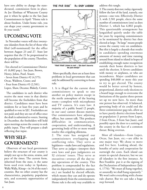have zero ability to change the statedictated, commission form in place. As Joe Elenbaas of Whatcom County put it when he spoke to the San Juan Commissioners in April: "Home rule is about freedom. Under home rule, you can shape your county government to fit your needs."

#### **UPCOMING VOTE**

 In November voters will elect twentyone islanders from the list of those who filed (self-nominated) for the office between August 23 and 27. State law requires that the 21 be proportional to the population of the county. Therefore, there will be:

-Ten elected in Commissioner District #1 (6,802 pop.). San Juan, Brown, Henry, Johns, Pearl, Stuart; - Seven from District #2 (4,575). Orcas, Waldron, Crane; and - Four from District #3 (2,581). Lopez, Shaw, Decatur, Blakely, Center.

 The candidates in each district who receive the most votes in that district will become the freeholders from that district. Candidates must have been residents for at least five years and be qualified to vote in SJC. Freeholders are not paid; and they are out of office once the draft is submitted to voters. Starting in December, the freeholders will hold open meetings across the county to seek public input. They will prepare a draft reflecting that input.

#### **WHY SELF-GOVERNMENT?**

 Observers of our local government believe the structure of our county is simply not up to the stress, strains, and pace of the times. The current form, inherited from the state, is the same form used even today in Spokane, Walla Walla, Kitsap—in 34 of the state's counties. But no other county has the characteristics, popularity, population mix, and economic opportunities of San Juan.

THE FAR SIDE" By GARY LARSON



Wait! Wait! Listen to me! ... We don't have to be just sheep!"

 More specifically, there are at least three problems in local government that can only be addressed by converting to home rule.

1. It is illegal for the current three commissioners to speak to one another on policy matters except in the sterile atmosphere of the hearing room—complete with microphones and TV camera. It's state law: A majority of a public board (2 people, in our case) cannot discuss matters. Our commissioners have adjoining offices, but cannot talk. This produces difficulties in communication. cooperation, and understanding. A governing body of five or more would resolve this crippling dilemma.

2. The state has assigned our commissioners overlapping and conflicting roles. They serve as legislators—make laws and regulations. They serve as judges—interpret their own laws and pass judgments on SJ citizens' issues. They serve as executives—oversee all the day-today operations of the county. This problem is compounded by the fact that six departments (auditor, assessor, etc.) are headed by elected officials, which means they can and do operate independently from the commissioners. Home rule is the only way available to

address this tangle.

3. The county does not, today, rigorously follow the law of the land, namely, one person—one vote. Effectively, District 3, with 2,581 people, elects the same number of commissioners (one) as does District 1, which has 6,802 people. This questionable arrangement has languished quietly under the table for years by requiring commissioners to be nominated by district but then elected at large. "At large" means people across the county vote on candidates. But this is largely a charade that results in candidates spending enormous amounts of money and time running around from island to island in hopes of establishing enough name recognition outside their home districts to last until the election. It favors candidates with money or airplanes, or who are incumbents. Major candidates are spending \$40,000 or more this year to try to get elected. The county would be better served by honest, proportional, district-only elections to a board large enough to overcome the limitations of the quaint three-person set up we now have. As more than one person has observed: A balanced, governing body of six could end the three-commissioner gag rule, allow us to have purely district elections based on population (1 person from Lopez, 2 from Orcas, 3 from San Juan), and possibly open the door to a uniting of the county in the face of a common threat: Being overrun.

 Most all islanders—from Lopez, Orcas, San Juan, etc.—are alike in one major way: We chose to move and live here. Looking ahead, the benefits of unity and cooperation far outweigh the costs. Each island can retain its special character, but we are all islanders in the first instance. As Ben Franklin put it at the signing of the Declaration of Independence (July 4, 1776): "We must all hang together, or assuredly we shall hang separately." We won't solve everything with a home rule charter. But we can take a huge step forward.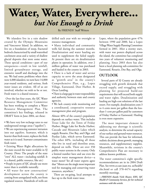## **Water, Water, Everywhere...** *but Not Enough to Drink*

#### By FRIENDS' Staff Writers

 We islanders live in a rain shadow created by the Olympic Mountains and Vancouver Island. In addition, we live on a foundation of steep, fractured bedrock characterized by small watershed catchment areas and a variety of shallow glacial deposits that store some water. These special conditions—part of our uniqueness—result in low rainfall, limited groundwater storage, and extensive runoff and discharge into the sea. We had some problems when there were 4,000 islanders; we now have 14,000 year-round residents, and serious, fresh water issues are evident. All of us are involved, whether we wish to be or not. Fresh water is a shared resource.

 Over the last four years, the SJC Water Resource Management Committee has been working to complete a Water Resource Management Plan. The committee's key findings, released in DRAFT form in June 2004, are these:

• We have very low recharge rates to our underground storage areas ("aquifers").

• We are experiencing seawater intrusion into our aquifers. Seawater, which is heavier than fresh water, replaces the fresh water as it is used. Seawater contaminates fresh water.

• Existing Water Right allocations by the state exceed the water available in SJ County. (Note: The people of the state "own" ALL water—including rainfall. It is a shared, public resource, like air.)

• People in parts of SJC already use more water than is available naturally.

• All water for new construction/ development across the county is coming from unregulated wells, not from regulated sources. Hundreds of wells are drilled each year with no oversight or resource management.

• Many individual and community wells fail during the summer months. Desalinization and water hauling are used to supplement the failed supply. At present there are six desalinization plants in operation. In addition, over 2 million gallons of water was purchased and hauled in the county in 2003.

• There is a lack of water and service capacity to serve the areas designated as "growth area" in the county's Comprehensive Plan, e.g., Lopez Village, Eastsound, Deer Harbor, & Orcas Landing.

• There is a large gap in water responsibility and authority between state and county agencies.

• We lack county-wide monitoring and a coordinated, cooperative resource management plan and program.

Almost 40% of the county's population depends on surface water. This includes Trout Lake for the Town of Friday Harbor; Briggs Lake for Roche Harbor; Cascade and Mountain Lakes which supply Rosario, Doe Bay, and Olga; and Purdue Lake, which serves Eastsound. The other 60%, including all those who live in rural and shoreline areas, depend on wells. There are over 350 public water systems in the county. Only a limited number have and use even the simplest water management device—a water meter! Yet all water experts agree that "Meters are the single most important tool for managing and conserving water resources, anywhere."

 There are on-going, local attempts to face up to the fresh water issue.

Lopez, where the population grew 47% between 1990 and 2000, has a Lopez Village Water Supply Planning Committee formed in 2001. After a stormy start, with water war posters displayed across the island, the committee has completed two years of volunteer monitoring and planning. Since 2003 there has also been a local planning sub-committee for Eastsound, Rosario, Doe Bay, and Olga.

#### **OUTLOOK**

 Several parts of SJ County are already struggling with growth demands that exceed supply, and struggling with planning for projected build-out requirements that will exceed both supply and water rights. Desalinization and hauling are high-cost solutions of the last resort. For example, desalinization costs 3 to 4 cents more per gallon than the lessthan-1-cent per gallon paid by customers of Friday Harbor or Eastsound. Hauling is even more expensive.

 The most important element in addressing our shortage is scientific analysis, to determine the actual capacity of our surface and ground water resources. This can provide the base for informed, realistic decisions about growth, managing resources, and supplementary supplies. Meanwhile, revisions in the county's Comprehensive Plan are necessary to address known problems.

The water committee's eight specific recommendations are in its 2004 Draft Plan. See www.co.san-juan.wa. us/health/ ehs.html or call 378-4474 regarding monthly meetings.

*—FRIENDS thanks Vicki Heater, EHS, SJC Health & Community Services, for her technical assistance with this article.*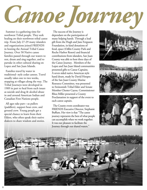*Canoe Journey*

 Summer is a gathering time for northwest Tribal people. They seek healing on their northwest tribal canoe trip. From July 27-29 many islanders and organizations joined FRIENDS in hosting the Annual Tribal Canoe Journey. Over 50 Native canoe families passed through our waters to rest, drum and sing together, and to partake in other cultural sharing on Lopez and San Juan Islands.

 Families travel by water in traditional- style cedar canoes. Travel usually takes one to two weeks, stopping at villages along the way. The Tribal Journeys were developed in 1989 in part to heal from such issues as suicide and drug & alcohol abuse in and around American Indian and Canadian First Nations people.

 All ages take part—as pullers (paddlers), support boat crew, and ground crew. Young people get a special chance to learn from their Elders, who often speak their native dialects to share wisdom and stories.

 The success of the Journey is dependant on the participation of many helping hands. Through a lead gift from the Hugh and Jane Ferguson Foundation, in-kind donations of food, space (Odlin County Park and Roche Harbor Resort) and financial contributions from islanders, San Juan County was able to host three days of the Canoe Journey. Members of the Lopez and San Juan Island communities presented gifts to Canoe Captains. A seven sided native American style hand drum, made by David Hoopes of the San Juan County Marine Resource Committee, was presented to Swinomish Tribal Elder and Senate Member Chester Cayou. Commissioner Rhea Miller presented a County Proclamation in support of the event to each canoe captain.

 The County event coordinator was FRIENDS Executive Director, Stephanie Buffum. Her view is that "The canoe journey represents the best of what people can accomplish when we work together. It was our pleasure to facilitate the Journey through our shared waters."





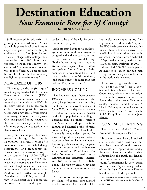## **Destination Education** *New Economic Base for SJ County?*

By FRIENDS' Staff Writers

 Still interested in education? A growing number of adults are. "There is a whole generational shift in travel experience going on," according to Colleen Clancy, San Juan Center Director—Skagit Valley College. "Last year we had over1,400 adults attend programs here in our county," she continued, "and most of our programs were in the off season. We are proud to be both helpful to the local economy and light on the environment."

#### **NEW LAYER OF JOBS**

 This may be the beginning of something big. In March the Economic Development Council (EDC) sponsored a conference on marine technology. It was held at the UW Labs in Friday Harbor. The purpose was to explore economic possibilities—how to generate a new layer of year-round, family-wage jobs in the San Juans. One unexpected finding emerged at the conference, namely, that there was a lot more going on in education here than anyone knew.

 Last year, for example, Elderhostel programs brought in roughly \$1,000,000 in revenue. Most of it went to instructors, overnight lodging, restaurants, and transportation. This means that most of it stayed in the county. Skagit Valley College conducted 36 programs in 2003. This made it the most popular Elderhostel site in Washington state and the second most popular in the Northwest, after Ashland, OR. Cathy Cavanaugh, President of the EDC, put it this way: "It is a perfect use of our tourism infrastructure that, in the past, has

tended to be used heavily for only a few months per year."

 Each program has up to 42 students, age 55 or more. And each program is designed with a theme such as sea life, natural history, or cultural history. "Basically, we design our programs around some aspect of our unique archipelago," says Clancy. "Baby boomers have been around the world more than their parents," she continued, "and many want to do more than just go look. They want to learn."

#### **BOOMERS COMING**

 The boomers—adults born between 1946 and 64—are moving into the over-55 age bracket in astonishing numbers. The first wave of boomers hit 55 in 2001, and today there are about 81 million of them, about a quarter of the U.S. population, according to Economy.com, a economic-research firm. More importantly, perhaps, is the cultural and physical profile of many boomers: They are in robust health, financially independent, geared for active, independent living, and prefer to associate with other like-minded adults. Increasingly they are setting the pace. There is a surge of books on boomers with titles such as: Prime Time: How Baby Boomers will Revolutionize Retirement and Transform America, and 100 Predictions for the Baby Boom: The Next 50 Years. What does the surge of boomers mean to the San Juans?

 "It means continuing pressure on the islands, of course," says Richard Civille, Executive Director of the EDC,

"but it also means opportunity, if we approach the trend properly." In June, the EDC held a second conference, this time at Rosario Resort on Orcas. The possibilities in education once again surfaced in the discussions. Elderhostel, a 27-year old nonprofit, marketed over 10,000 programs worldwide in 2003 and enrolled 200,000 participants. As mentioned earlier, our San Juan archipelago is already a major location in the worldwide network.

 How are programs developed? "We do it ourselves," says Clancy. She and Randy Martin, Elderhostel Coordinator, collaborate on the design. He is also the program administrator. Some titles in the current Elderhostel catalog include: Island Interlude: A Life in Balance; Autumn Revelry on Orcas Island; Farm to Feast: Island Style!; Ferry Tales in the San Juan Islands.

#### **ECONOMIC PLANNING**

The stated goal of the SJ County Economic Development Plan is:

 "To support a broad-based, diversified, stable, year-round economy that provides a range of goods, services, and employment opportunities serving the needs of county residents, while safeguarding the rural, residential, agricultural, and marine nature of the county." Destination education, a term used by David Bayley, past president of the San Juan Community Theater board, seems to fit the goal well.

*—FRIENDS is an active member of the EDC and a FRIENDS director is on the EDC board of directors.*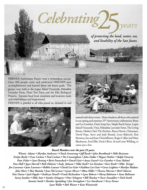*of protecting the land, water, sea,*  25 *and livability of the San Juans.* 

*years*

FRIENDS Anniversary Picnics were a tremendous success. Over 400 people came and celebrated FRIENDS past accomplishments and learned about our future goals. The picnics were held at the Lopez Island Vineyards, Pelindaba Lavender Farm, Plum Tree Farm and the Ellis Biological Preserve. Fantastic local food, musicians and locations made each event unique and inspirational.

FRIENDS is grateful to all who joined us, donated to and





assisted with these events. Many thanks to all those who assisted in our spring and summer 25<sup>th</sup> Anniversary celebrations: Betsy and Les Gunther, Duck Soup Inn, Maple Rock Farms, Lopez Island Vineyards, Vita's, Pelindaba Lavender Farm, The Living Room, Market Chef, The Kitchen, Bruce Harvie, Chinmayo, David Pope, Steve and Judy Brandt, Lynn Bahrych, Ken Burtness, Jon and Joan Christoffersen, Roger Collier and Mary Blackstone, Fred Ellis, Doris Oliver, Al and Lotte Wilding, to name just a few.

#### *Board Members over the past 25 years.*

*Celebrating*

*Winnie Adams • Marilyn Anderson • Chuck Armstrong • Jeff Brash • John Brookbank • Miki Brostrom Evelyn Burke • Fran Carlson • Paul Carlson • Pat Cunningham • John Dallas • Megan Dethier • Ralph Finnerty Peter Fisher • Sam Fleming • Berit Fonnesbeck • David Geist • Anna Guard • Les Gunther • Gene Hahnel Don Hall • Joyce Harrell • Beth Helstein • Andy Johnson • Mike Kaill • Liz Keeshan • Kari Koski • Mike Krieger Jim Lawrence • Joan Lawrence • Robbie Lawson • David Lee-Geist • Kathleen Lee-Geist • Grace Leighton • Marilyn Madson John Marx • Mat Mattola • Jean McCorison • Lynne Mercer • Rhea Miller • Theresa Morrow • Rich Osborne Tom Owens • Jack Pageler • Kathryn Powell • Frank Richardson • Lynn Roberts • Marty Robinson • Anne Robinson Savvy Sanders • Mike Sato • Sandra Schugren • Peter Schugren • Bill Shockey • Oscar Smaalders • Dick Smith Annette Smith • Heather Spaulding • Jim Straugham • Lee Sturdivant • Terry Turner Lynn Waller • Bob Weaver • Kate Wisniewski*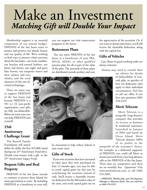## Make an Investment *Matching Gift will Double Your Impact*

 Membership support is an essential component of our annual budget. FRIENDS of the San Juans exists to protect and preserve our islands' beauty and our quality of life. We're working to find ways to preserve what's precious about the San Juans – our rocky coastline, our beaches and natural harbors, our farms and forests, our eagles and great blue herons, our turquoise waters and

their salmon and orca whales, and the rural character of this one-ofa-kind archipelago .

 There are many way to support FRIENDS of the San Juans and because FRIENDS is a 501 (c) (3) non-profit organization, your gifts are fully tax-deductible. Below are some ways you can help FRIENDS and yourself.

#### **25th Anniversary Challenge Grant**

 The Russell Family Foundation will match

dollar for dollar the first \$25,000 raised during our 25<sup>th</sup> Anniversary Fund drive. Double your money with a gift to the 25<sup>th</sup> Anniversary Legacy Fund.

#### **Bequest Gifts and Real Property**

11 **11**  FRIENDS of the San Juans intends to continue to protect these Islands for many generations to come. By including FRIENDS as a beneficiary in your will,

you can support our vital conservation programs in the future.

#### **Retirement Plans**

 You can name FRIENDS of the San Juans as a beneficiary of your IRA,  $401(k)$ ,  $403(b)$ , or other qualified pension plan, for all or part of the value of the plan. The proceeds of these plans are distributed outside probate and may



be structured to help reduce federal or state estate taxes.

#### **Gifts of Stock**

 If you own securities that have increased in value since they were purchased (at least 12 months ago), you may be able to avoid capital gains tax this year by contributing the securities instead of cash. You'll receive a charitable income tax deduction for the full market value of the asset, and avoid capital gains tax on

the appreciation of the securities. Or, if you want to dump some losers, you'll still receive the charitable deduction, along with the capital loss.

#### **Gifts of Vehicles**

 Cars, Boats in good working order are always welcome.

Donors may need to consult their

tax advisor for details of deductibility of noncash gifts, or specifics of how tax deduction rules apply to their individual circumstances. Feel free to call our office if you have any questions (360) 378-2319.

#### **Merit Telecom**

 Merit Telecom is a nonprofit long-distance company that provides its services to business & residential customers. Launched in January of 2003 and based on Orcas Island, Merit Telecom donates 100% of its profits to the

nonprofit of the customer's choice. For example, as a dedicated supporter of FRIENDS, you could tell Merit to donate proceeds from your long distance calls to the FRIENDS of the San Juans. Their rates are competitive and there are no monthly fees. Questions? Visit www.merittelecom.com, or call (360) 376-2985.

*—FRIENDS Membership and Development Manager is Shannon Davis. You can reach her at 360-378-2319.*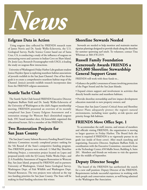

#### **Eelgrass Data in Action**

 Using seagrass data collected by FRIENDS research team of James Norris and Dr. Sandy Wyllie-Echeverria, the U.S. Geological Survey, Pacific Science Center based out of Santa Cruz, CA, is conducting a study of the influence of seagrass on attenuating waves and currents in Indian Cove on Shaw Island. Dr. Jessie Lacy, Research Oceanographer with USGS, is leading the study on seagrass-flow interactions.

 University of Washington's Friday Harbor Labs graduate student Jessica Hayden-Spear is exploring nearshore habitat associations of juvenile rockfish in the San Juan Channel. One of her thesis goals is to create a comprehensive nearshore habitat map of the Channel. Jessica's juvenile rockfish research incorporates data from the FRIENDS eelgrass assessment.

#### **Seattle Yacht Club**

 The Seattle Yacht Club hosted FRIENDS Executive Director Stephanie Buffum Field and Dr. Sandy Wyllie-Echeverria of the University of Washington at the club's August membership meeting. FRIENDS presented an overview of its recently completed San Juan County Eelgrass Assessment and a restoration strategy for Westcott Bay's diminished seagrass beds. SYC board member elect, Ed Joneschild, organized this educational lecture. Ed is a member of the FRIENDS.

#### **Two Restoration Projects for San Juan County**

 The San Juan County Salmon Recovery Funding Board Citizen Advisory Committee recently completed project ranking for the 5th Round of the State's competitive funding program. Two FRIENDS projects were selected: 1) Mud Bay Shoreline Softening Project, a restoration project located on Lopez and proposed jointly with the SJ County Public Works Dept.; and 2) A Feasibility Assessment of Seagrass Restoration in Westcott Bay, San Juan Island, proposed by FRIENDS and its partners: University of Washington, United States Geological Survey, Washington Dept. of Fish Wildlife and Washington Dept. Natural Resources. The two projects were selected as the top two funding priorities for San Juan County. The State will be making its final funding selections this winter.

#### **Shoreline Stewards Needed**

 Stewards are needed to help monitor and maintain marine riparian plantings designed to provide shade along the shoreline for summer spawning surf smelt. To volunteer, contact Tina Whitman at 360-378-2319.

#### **Russell Family Foundation Generously Awards FRIENDS a \$25,000 Shoreline Stewardship General Support Grant**

FRIENDS will work with these funds to...

• Enhance the public's awareness of issues involving protection of the Puget Sound and the San Juan Islands;

• Expand citizen support and involvement in activities that directly benefit marine and nearshore habitats;

• Provide shoreline stewardship and low impact development education materials to new property owners; and

• Ensure that San Juan County's Critical Areas and Shoreline Master Plans adequately protect the region's natural environments, including water quality, at-risk species and priority forage fish habitats.

#### **FRIENDS Move Office Sept. 1**

 To accommodate the staff, interns, and stream of members and officials visiting FRIENDS, the organization is moving to larger quarters in Friday Harbor. The Board feels the move is required if FRIENDS is to vigorously pursue its six goals (see inside of front cover). After much searching and negotiating, Executive Director, Stephanie Buffum Field, in coordination with the Executive Committee, executed a lease at the Technology Center, 650 Mullis Street, Building A, Suite 201. Members and friends are welcome to visit the quarters after the middle of September.

#### **Deputy Director Sought**

 The board of the FRIENDS has aurthorized the search for a new staff position: Deputy Director of the FRIENDS. Requirements include successful experience in working with both people and conservation matters, as well being admitted to the Washington Bar Association.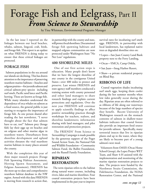## Forage Fish and Eelgrass, Part II *From Science to Stewardship*

by Tina Whitman, Environmental Programs Manager

 In the last issue I reported on the linkages between our local beaches, whales, salmon, lingcod, crab, birds, and forage fish. This report is an update on what FRIENDS is doing today to ensure that these critical linkages are protected.

#### **FORAGE FISH**

 Salmon populations in the sea around our islands are declining. This has drawn attention to the importance of preserving nearshore marine habitats—beaches and eelgrass prairies—for juvenile salmon and critical salmon-prey species including surf smelt, Pacific sand lance and Pacific herring. These are known as forage fish. While many islanders understand the dependence of orca whales on salmon as a food source, the general public is just starting to recognize the importance of forage fish. As one person shared after reading the last newsletter, "I never thought about the fact that salmon have to eat, too!" Salmon prey (forage fish) lay their eggs up on beaches and on eelgrass and other marine algae in nearshore waters. Disturbances from shoreline development and upland activities threaten the vital nearshore marine habitats in many places around the county.

 With the completion this year of three major research projects (Forage Fish Spawning Habitat Assessment, Herring Spawn Assessment, and Eelgrass Assessment), FRIENDS has the most up-to-date and comprehensive nearshore habitat database in the NW region. Armed with this data FRIENDS is moving from research to action that,

in partnership with the county and state, will protect local shorelines. Documented forage fish spawning habitats and mapped eelgrass communities are now protected under Washington State "No Net Loss" regulations.

#### **400 SHORELINE MILES**

 One of our first action steps is education. Many people don't know that we have the longest shoreline of any county in the contiguous United States—over 400 miles to protect and preserve. Last winter FRIENDS and state agency staff members conducted a training session with county personnel and other land managers to share research findings and explain current protections and regulations. Over the next year FRIENDS will continue to apply scientific findings to affect positive stewardship practices through workshops for teachers, realtors, and shoreline landowners; information sharing with land managers; and pilot restoration and protection projects.

 The FRIENDS' From Science to Stewardship Campaign is made possible by the generous support of the Puget Sound Action Team, the National Fish and Wildlife Foundation—Community Salmon Fund, the Bullitt Foundation, and the Russell Family Foundation.

#### **RIPARIAN RESTORATION**

 The term riparian refers to the habitat along natural water courses, including rivers, lakes and marine shorelines. Four coastal restoration projects have been implemented in the past year to improve

survival rates for incubating surf smelt eggs. FRIENDS, in partnership with local landowners, has replanted native trees at degraded shoreline sites on:

- Lopez—San Juan County Land Bank property next to the Ferry Landing,
- Orcas—YMCA, Camp Orkila,
- San Juan—Snug Harbor Resort,
- Shaw—a private residential property on Blind Bay.

#### **RIBBONS OF LIFE**

 Coastal vegetation shades incubating surf smelt eggs, keeping them cooler during the hot summer months when low tides generally occur during the day. Riparian areas are often referred to as ribbons of life along our waterways because of the large numbers of species they benefit. Recent University of Washington research on the stomach contents of salmon in shallow-water habitats indicates that coastal forests also provide an important food source for juvenile salmon. Specifically, many terrestrial insects that live in riparian plants end up in the water, where they are likely to become part of a young salmon's next meal.

 Volunteers from OASIS (Orcas Home School Group), the Lopez Project WET Team, and Shaw 4-H assisted with the implementation and monitoring of the marine riparian restoration projects to date. The projects were funded by the Northwest Straits Commission, the FishAmerica Foundation, the NOAA Restoration Center, and the National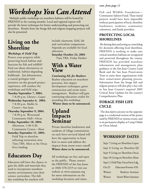## *Workshops You Can Attend*

 Multiple public workshops on nearshore habitats will be hosted by FRIENDS in the coming months. Local and regional experts will provide the latest techniques for better understanding and protecting our shorelines. Results from the forage fish and eelgrass mapping projects will also be presented.

#### **Living on the Shoreline**

*Workshops & Field Trip* Protect your property while preserving beach habitat and function for fish and wildlife! Find out about alternatives to traditional, habitat-degrading bulkheads. Jim Johannessen, a coastal geologist with extensive on-the-ground project experience, will conduct the workshops and field trips.

#### **Tuesday September 7, 2004.**

 7-8:30 p.m. Library—Lopez **Wednesday September 8, 2004.** 7-8:30 p.m. Mullis Sr. Center—San Juan

**Thursday September 9, 2004.**  7-8:30 p.m. Westsound Community Hall—Orcas

#### **Friday September 10, 2004.** Afternoon. 1:30-3:30.

Community Center—Shaw **Saturday September 11, 2004.**  Field Trip to shoreline softening restoration sites. Time TBA. Meet at the Orcas ferry landing.

#### **Educators Day**

Educators will have the chance to gain the skills and materials they need to incorporate nearshore marine environments into their science curriculum. The fullday workshop for teachers will

include classroom, field, lab and curriculum components. Stipends are available for local educators.

**Saturday October 23, 2004** Time TBA. Friday Harbor

#### **With a Water View**

*Continuing Ed. for Realtors* Realtor education on nearshore processes, low impact development techniques, green construction and storm water management. Realtors will gain continuing education credits for attending this workshop.

**Winter dates to be announced.**

#### **Upland Impacts Seminar**

Private shoreline landowners and residents of village communities on each ferry-serviced island will have the opportunity to learn how to assess and address the impacts from storm water runoff. **Winter dates to be announced.**

All workshops are free and open to the public. Please contact the FRIENDS of the San Juans at (360) 378-2319 or visit our website at www.sanjuans.org for more information on the workshop locations and times.

#### *cont. from page 11*

Fish and Wildlife Foundation— Community Salmon Fund. These initial projects would have been impossible without participation of local, shoreline landowner, students, community volunteers, and funds providers.

#### **PROTECTING LOCAL SHORELINES**

 By sharing data and acting as a watchdog for decisions affecting local shorelines, FRIENDS is working to make sure critical nearshore habitats are recognized and protected throughout the county. FRIENDS has provided nearshore information and management plan guidance to the San Juan County Land Bank and the San Juan Preservation Trust to assist these organizations with their conservation planning process. Information from the forage fish and eelgrass projects will also play a key role in San Juan County's required 2005 Critical Areas Updates for the county's Comprehensive Plan.

#### **FORAGE FISH LIFE CYCLE**

 The descriptive picture on the opposite page is a condensed version of the poster used by FRIENDS at various events, and is on permanent display at Camp Orkila on Orcas Island.

#### **WORKSHOP DATES**

Sept 7 Living on Shoreline-Lopez Sept 8 Living on Shoreline-SJI Sept 9 Living on Shoreline-Orcas Sept 10 Living on Shoreline-Shaw Sept 11 Field Trip. Orcas Ferry Ldg. Oct 23 Educators Forum -F.H. Winter. Realtors Seminar Winter. Storm Water Seminar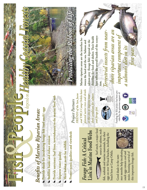# &**Fish People Fish People Fish People** *Benefi ts of Marine Riparian Areas:*

- Provide shade for incubating forage fish (surf smelt) eggs
- **Stabilize banks and reduce erosion**
- **Provide nutrients (leaf litter, invertebrates) to the marine food web**
- **Improve water quality**
- **Meet habitat needs for wildlife**
- **Protect scenic qualities and viewsheds**

*Project Partners*

*FRIENDS of the San Juans and YMCA Camp Orkila have planted native trees and shrubs at this site to improve nearshore conditions for salmon* 

# *Forage Fish:*  **A Critical Link in Marine Food Webs**

Surf smelt, a major food source for salmon, rockfish, seabirds and marine mammals, lay their eggs on over 50 local beaches, including the

*and forage fi sh.*

beach here at Camp Orkila.





Funding for this project has been provided by the generous support of:





**Marine riparian areas are the interface between the land and the sea. Salmon and**  salmon prey (forage fish) depend on the **shoreline for food and shelter. Their health**  here reflects the overall health of the ecosys**tem.**

*Terrestrial insects from near-*

*shore riparian areas are an important component of a salmon's diet in its fi rst year.*